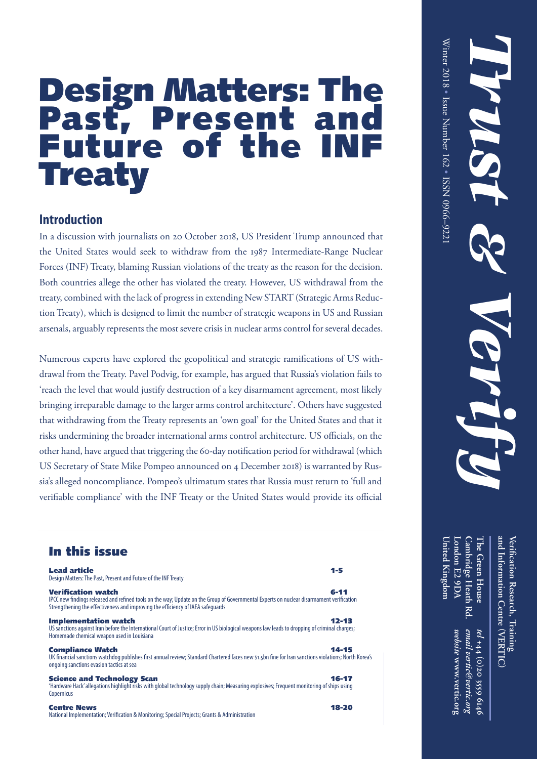*Trust* 

# Design Matters: The Past, Present and Future of the INF **Treaty**

### **Introduction**

In a discussion with journalists on 20 October 2018, US President Trump announced that the United States would seek to withdraw from the 1987 Intermediate-Range Nuclear Forces (INF) Treaty, blaming Russian violations of the treaty as the reason for the decision. Both countries allege the other has violated the treaty. However, US withdrawal from the treaty, combined with the lack of progress in extending New START (Strategic Arms Reduction Treaty), which is designed to limit the number of strategic weapons in US and Russian arsenals, arguably represents the most severe crisis in nuclear arms control for several decades.

Numerous experts have explored the geopolitical and strategic ramifications of US withdrawal from the Treaty. Pavel Podvig, for example, has argued that Russia's violation fails to 'reach the level that would justify destruction of a key disarmament agreement, most likely bringing irreparable damage to the larger arms control architecture'. Others have suggested that withdrawing from the Treaty represents an 'own goal' for the United States and that it risks undermining the broader international arms control architecture. US officials, on the other hand, have argued that triggering the 60-day notification period for withdrawal (which US Secretary of State Mike Pompeo announced on 4 December 2018) is warranted by Russia's alleged noncompliance. Pompeo's ultimatum states that Russia must return to 'full and verifiable compliance' with the INF Treaty or the United States would provide its official

### In this issue

| <b>Lead article</b><br>Design Matters: The Past, Present and Future of the INF Treaty                                                                                                                                                                    | $1 - 5$   |
|----------------------------------------------------------------------------------------------------------------------------------------------------------------------------------------------------------------------------------------------------------|-----------|
| <b>Verification watch</b><br>IPCC new findings released and refined tools on the way; Update on the Group of Governmental Experts on nuclear disarmament verification<br>Strengthening the effectiveness and improving the efficiency of IAEA safeguards | $6 - 11$  |
| <b>Implementation watch</b><br>US sanctions against Iran before the International Court of Justice; Error in US biological weapons law leads to dropping of criminal charges;<br>Homemade chemical weapon used in Louisiana                              | $12 - 13$ |
| <b>Compliance Watch</b><br>UK financial sanctions watchdog publishes first annual review; Standard Chartered faces new \$1.5bn fine for Iran sanctions violations; North Korea's<br>ongoing sanctions evasion tactics at sea                             | 14-15     |
| <b>Science and Technology Scan</b><br>Hardware Hack' allegations highlight risks with global technology supply chain; Measuring explosives; Freguent monitoring of ships using<br>Copernicus                                                             | $16 - 17$ |
| <b>Centre News</b><br>National Implementation; Verification & Monitoring; Special Projects; Grants & Administration                                                                                                                                      | 18-20     |

**The Green House and Information Centre Veri fi**The Green House **cation Research, Training** *tel* +44 (0)20 3559 **VERTIC ( ) +44 (0)20 3559 6146**

**United Kingdom London E2 9DA Cambridge Heath Rd.**

United Kingdom London E2 9DA

Cambridge Heath

 $\mathbb{R}^n$ 

website www.vertic.org *email vertic@vertic.org*  **www.vertic.org**

email vertic@vertic.org

9t19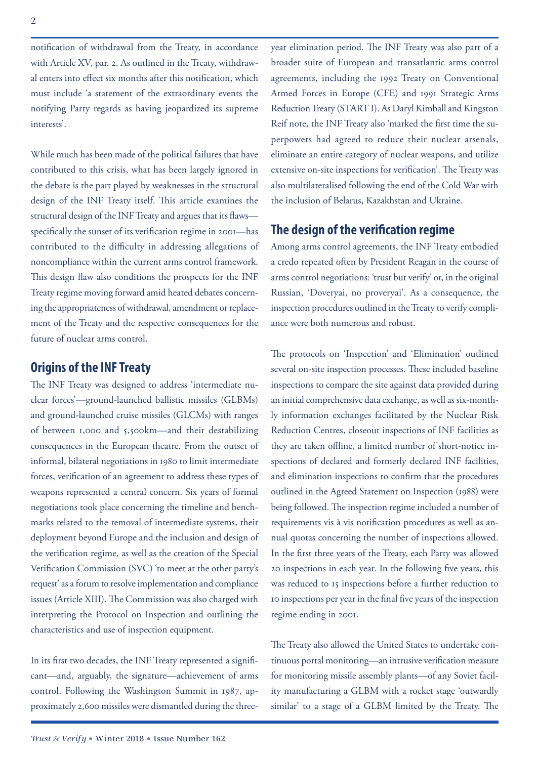notification of withdrawal from the Treaty, in accordance with Article XV, par. 2. As outlined in the Treaty, withdrawal enters into effect six months after this notification, which must include 'a statement of the extraordinary events the notifying Party regards as having jeopardized its supreme interests'.

While much has been made of the political failures that have contributed to this crisis, what has been largely ignored in the debate is the part played by weaknesses in the structural design of the INF Treaty itself. This article examines the structural design of the INF Treaty and argues that its flaws specifically the sunset of its verification regime in 2001—has contributed to the difficulty in addressing allegations of noncompliance within the current arms control framework. This design flaw also conditions the prospects for the INF Treaty regime moving forward amid heated debates concerning the appropriateness of withdrawal, amendment or replacement of the Treaty and the respective consequences for the future of nuclear arms control.

### **Origins of the INF Treaty**

The INF Treaty was designed to address 'intermediate nuclear forces'—ground-launched ballistic missiles (GLBMs) and ground-launched cruise missiles (GLCMs) with ranges of between 1,000 and 5,500km—and their destabilizing consequences in the European theatre. From the outset of informal, bilateral negotiations in 1980 to limit intermediate forces, verification of an agreement to address these types of weapons represented a central concern. Six years of formal negotiations took place concerning the timeline and benchmarks related to the removal of intermediate systems, their deployment beyond Europe and the inclusion and design of the verification regime, as well as the creation of the Special Verification Commission (SVC) 'to meet at the other party's request' as a forum to resolve implementation and compliance issues (Article XIII). The Commission was also charged with interpreting the Protocol on Inspection and outlining the characteristics and use of inspection equipment.

In its first two decades, the INF Treaty represented a significant—and, arguably, the signature—achievement of arms control. Following the Washington Summit in 1987, approximately 2,600 missiles were dismantled during the threeyear elimination period. The INF Treaty was also part of a broader suite of European and transatlantic arms control agreements, including the 1992 Treaty on Conventional Armed Forces in Europe (CFE) and 1991 Strategic Arms Reduction Treaty (START I). As Daryl Kimball and Kingston Reif note, the INF Treaty also 'marked the first time the superpowers had agreed to reduce their nuclear arsenals, eliminate an entire category of nuclear weapons, and utilize extensive on-site inspections for verification'. The Treaty was also multilateralised following the end of the Cold War with the inclusion of Belarus, Kazakhstan and Ukraine.

### **The design of the verification regime**

Among arms control agreements, the INF Treaty embodied a credo repeated often by President Reagan in the course of arms control negotiations: 'trust but verify' or, in the original Russian, 'Doveryai, no proveryai'. As a consequence, the inspection procedures outlined in the Treaty to verify compliance were both numerous and robust.

The protocols on 'Inspection' and 'Elimination' outlined several on-site inspection processes. These included baseline inspections to compare the site against data provided during an initial comprehensive data exchange, as well as six-monthly information exchanges facilitated by the Nuclear Risk Reduction Centres, closeout inspections of INF facilities as they are taken offline, a limited number of short-notice inspections of declared and formerly declared INF facilities, and elimination inspections to confirm that the procedures outlined in the Agreed Statement on Inspection (1988) were being followed. The inspection regime included a number of requirements vis à vis notification procedures as well as annual quotas concerning the number of inspections allowed. In the first three years of the Treaty, each Party was allowed 20 inspections in each year. In the following five years, this was reduced to 15 inspections before a further reduction to 10 inspections per year in the final five years of the inspection regime ending in 2001.

The Treaty also allowed the United States to undertake continuous portal monitoring—an intrusive verification measure for monitoring missile assembly plants—of any Soviet facility manufacturing a GLBM with a rocket stage 'outwardly similar' to a stage of a GLBM limited by the Treaty. The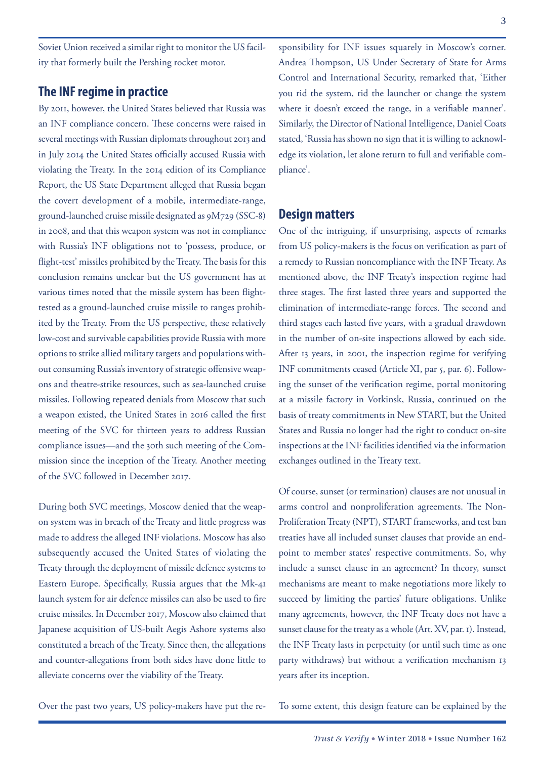Soviet Union received a similar right to monitor the US facility that formerly built the Pershing rocket motor.

### **The INF regime in practice**

By 2011, however, the United States believed that Russia was an INF compliance concern. These concerns were raised in several meetings with Russian diplomats throughout 2013 and in July 2014 the United States officially accused Russia with violating the Treaty. In the 2014 edition of its Compliance Report, the US State Department alleged that Russia began the covert development of a mobile, intermediate-range, ground-launched cruise missile designated as 9M729 (SSC-8) in 2008, and that this weapon system was not in compliance with Russia's INF obligations not to 'possess, produce, or flight-test' missiles prohibited by the Treaty. The basis for this conclusion remains unclear but the US government has at various times noted that the missile system has been flighttested as a ground-launched cruise missile to ranges prohibited by the Treaty. From the US perspective, these relatively low-cost and survivable capabilities provide Russia with more options to strike allied military targets and populations without consuming Russia's inventory of strategic offensive weapons and theatre-strike resources, such as sea-launched cruise missiles. Following repeated denials from Moscow that such a weapon existed, the United States in 2016 called the first meeting of the SVC for thirteen years to address Russian compliance issues—and the 30th such meeting of the Commission since the inception of the Treaty. Another meeting of the SVC followed in December 2017.

During both SVC meetings, Moscow denied that the weapon system was in breach of the Treaty and little progress was made to address the alleged INF violations. Moscow has also subsequently accused the United States of violating the Treaty through the deployment of missile defence systems to Eastern Europe. Specifically, Russia argues that the Mk-41 launch system for air defence missiles can also be used to fire cruise missiles. In December 2017, Moscow also claimed that Japanese acquisition of US-built Aegis Ashore systems also constituted a breach of the Treaty. Since then, the allegations and counter-allegations from both sides have done little to alleviate concerns over the viability of the Treaty.

sponsibility for INF issues squarely in Moscow's corner. Andrea Thompson, US Under Secretary of State for Arms Control and International Security, remarked that, 'Either you rid the system, rid the launcher or change the system where it doesn't exceed the range, in a verifiable manner'. Similarly, the Director of National Intelligence, Daniel Coats stated, 'Russia has shown no sign that it is willing to acknowledge its violation, let alone return to full and verifiable compliance'.

### **Design matters**

One of the intriguing, if unsurprising, aspects of remarks from US policy-makers is the focus on verification as part of a remedy to Russian noncompliance with the INF Treaty. As mentioned above, the INF Treaty's inspection regime had three stages. The first lasted three years and supported the elimination of intermediate-range forces. The second and third stages each lasted five years, with a gradual drawdown in the number of on-site inspections allowed by each side. After 13 years, in 2001, the inspection regime for verifying INF commitments ceased (Article XI, par 5, par. 6). Following the sunset of the verification regime, portal monitoring at a missile factory in Votkinsk, Russia, continued on the basis of treaty commitments in New START, but the United States and Russia no longer had the right to conduct on-site inspections at the INF facilities identified via the information exchanges outlined in the Treaty text.

Of course, sunset (or termination) clauses are not unusual in arms control and nonproliferation agreements. The Non-Proliferation Treaty (NPT), START frameworks, and test ban treaties have all included sunset clauses that provide an endpoint to member states' respective commitments. So, why include a sunset clause in an agreement? In theory, sunset mechanisms are meant to make negotiations more likely to succeed by limiting the parties' future obligations. Unlike many agreements, however, the INF Treaty does not have a sunset clause for the treaty as a whole (Art. XV, par. 1). Instead, the INF Treaty lasts in perpetuity (or until such time as one party withdraws) but without a verification mechanism 13 years after its inception.

Over the past two years, US policy-makers have put the re-

To some extent, this design feature can be explained by the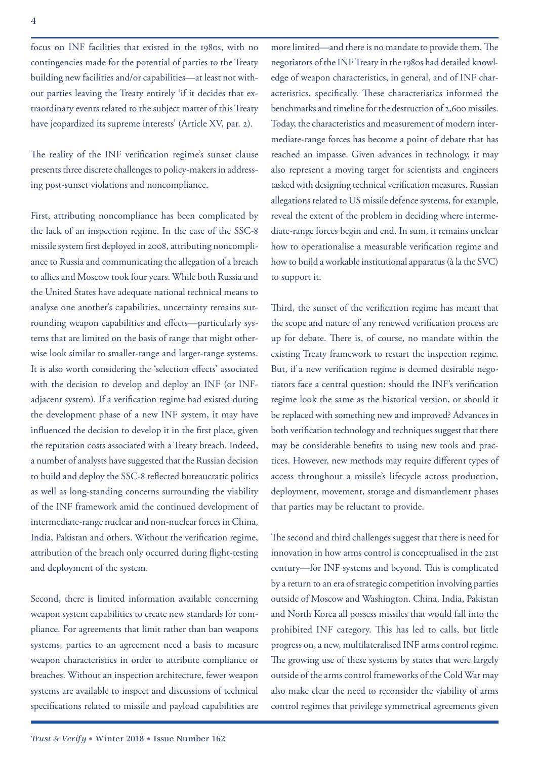focus on INF facilities that existed in the 1980s, with no contingencies made for the potential of parties to the Treaty building new facilities and/or capabilities—at least not without parties leaving the Treaty entirely 'if it decides that extraordinary events related to the subject matter of this Treaty have jeopardized its supreme interests' (Article XV, par. 2).

The reality of the INF verification regime's sunset clause presents three discrete challenges to policy-makers in addressing post-sunset violations and noncompliance.

First, attributing noncompliance has been complicated by the lack of an inspection regime. In the case of the SSC-8 missile system first deployed in 2008, attributing noncompliance to Russia and communicating the allegation of a breach to allies and Moscow took four years. While both Russia and the United States have adequate national technical means to analyse one another's capabilities, uncertainty remains surrounding weapon capabilities and effects—particularly systems that are limited on the basis of range that might otherwise look similar to smaller-range and larger-range systems. It is also worth considering the 'selection effects' associated with the decision to develop and deploy an INF (or INFadjacent system). If a verification regime had existed during the development phase of a new INF system, it may have influenced the decision to develop it in the first place, given the reputation costs associated with a Treaty breach. Indeed, a number of analysts have suggested that the Russian decision to build and deploy the SSC-8 reflected bureaucratic politics as well as long-standing concerns surrounding the viability of the INF framework amid the continued development of intermediate-range nuclear and non-nuclear forces in China, India, Pakistan and others. Without the verification regime, attribution of the breach only occurred during flight-testing and deployment of the system.

Second, there is limited information available concerning weapon system capabilities to create new standards for compliance. For agreements that limit rather than ban weapons systems, parties to an agreement need a basis to measure weapon characteristics in order to attribute compliance or breaches. Without an inspection architecture, fewer weapon systems are available to inspect and discussions of technical specifications related to missile and payload capabilities are

more limited—and there is no mandate to provide them. The negotiators of the INF Treaty in the 1980s had detailed knowledge of weapon characteristics, in general, and of INF characteristics, specifically. These characteristics informed the benchmarks and timeline for the destruction of 2,600 missiles. Today, the characteristics and measurement of modern intermediate-range forces has become a point of debate that has reached an impasse. Given advances in technology, it may also represent a moving target for scientists and engineers tasked with designing technical verification measures. Russian allegations related to US missile defence systems, for example, reveal the extent of the problem in deciding where intermediate-range forces begin and end. In sum, it remains unclear how to operationalise a measurable verification regime and how to build a workable institutional apparatus (à la the SVC) to support it.

Third, the sunset of the verification regime has meant that the scope and nature of any renewed verification process are up for debate. There is, of course, no mandate within the existing Treaty framework to restart the inspection regime. But, if a new verification regime is deemed desirable negotiators face a central question: should the INF's verification regime look the same as the historical version, or should it be replaced with something new and improved? Advances in both verification technology and techniques suggest that there may be considerable benefits to using new tools and practices. However, new methods may require different types of access throughout a missile's lifecycle across production, deployment, movement, storage and dismantlement phases that parties may be reluctant to provide.

The second and third challenges suggest that there is need for innovation in how arms control is conceptualised in the 21st century—for INF systems and beyond. This is complicated by a return to an era of strategic competition involving parties outside of Moscow and Washington. China, India, Pakistan and North Korea all possess missiles that would fall into the prohibited INF category. This has led to calls, but little progress on, a new, multilateralised INF arms control regime. The growing use of these systems by states that were largely outside of the arms control frameworks of the Cold War may also make clear the need to reconsider the viability of arms control regimes that privilege symmetrical agreements given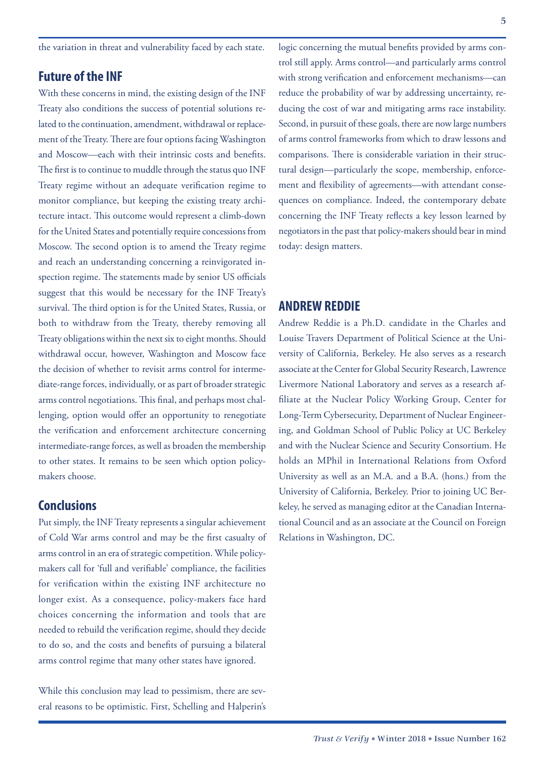the variation in threat and vulnerability faced by each state.

### **Future of the INF**

With these concerns in mind, the existing design of the INF Treaty also conditions the success of potential solutions related to the continuation, amendment, withdrawal or replacement of the Treaty. There are four options facing Washington and Moscow—each with their intrinsic costs and benefits. The first is to continue to muddle through the status quo INF Treaty regime without an adequate verification regime to monitor compliance, but keeping the existing treaty architecture intact. This outcome would represent a climb-down for the United States and potentially require concessions from Moscow. The second option is to amend the Treaty regime and reach an understanding concerning a reinvigorated inspection regime. The statements made by senior US officials suggest that this would be necessary for the INF Treaty's survival. The third option is for the United States, Russia, or both to withdraw from the Treaty, thereby removing all Treaty obligations within the next six to eight months. Should withdrawal occur, however, Washington and Moscow face the decision of whether to revisit arms control for intermediate-range forces, individually, or as part of broader strategic arms control negotiations. This final, and perhaps most challenging, option would offer an opportunity to renegotiate the verification and enforcement architecture concerning intermediate-range forces, as well as broaden the membership to other states. It remains to be seen which option policymakers choose.

### **Conclusions**

Put simply, the INF Treaty represents a singular achievement of Cold War arms control and may be the first casualty of arms control in an era of strategic competition. While policymakers call for 'full and verifiable' compliance, the facilities for verification within the existing INF architecture no longer exist. As a consequence, policy-makers face hard choices concerning the information and tools that are needed to rebuild the verification regime, should they decide to do so, and the costs and benefits of pursuing a bilateral arms control regime that many other states have ignored.

While this conclusion may lead to pessimism, there are several reasons to be optimistic. First, Schelling and Halperin's logic concerning the mutual benefits provided by arms control still apply. Arms control—and particularly arms control with strong verification and enforcement mechanisms—can reduce the probability of war by addressing uncertainty, reducing the cost of war and mitigating arms race instability. Second, in pursuit of these goals, there are now large numbers of arms control frameworks from which to draw lessons and comparisons. There is considerable variation in their structural design—particularly the scope, membership, enforcement and flexibility of agreements—with attendant consequences on compliance. Indeed, the contemporary debate concerning the INF Treaty reflects a key lesson learned by negotiators in the past that policy-makers should bear in mind today: design matters.

### **ANDREW REDDIE**

Andrew Reddie is a Ph.D. candidate in the Charles and Louise Travers Department of Political Science at the University of California, Berkeley. He also serves as a research associate at the Center for Global Security Research, Lawrence Livermore National Laboratory and serves as a research affiliate at the Nuclear Policy Working Group, Center for Long-Term Cybersecurity, Department of Nuclear Engineering, and Goldman School of Public Policy at UC Berkeley and with the Nuclear Science and Security Consortium. He holds an MPhil in International Relations from Oxford University as well as an M.A. and a B.A. (hons.) from the University of California, Berkeley. Prior to joining UC Berkeley, he served as managing editor at the Canadian International Council and as an associate at the Council on Foreign Relations in Washington, DC.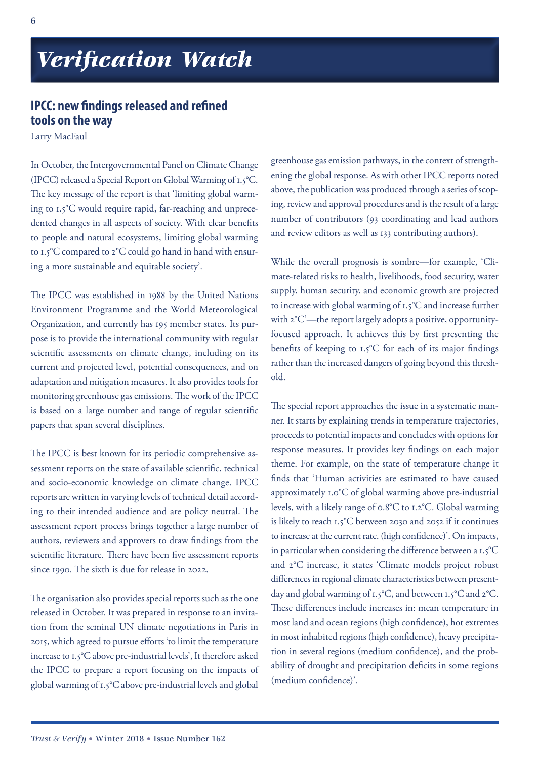# *Verification Watch*

### **IPCC: new findings released and refined tools on the way**

Larry MacFaul

In October, the Intergovernmental Panel on Climate Change (IPCC) released a Special Report on Global Warming of 1.5°C. The key message of the report is that 'limiting global warming to 1.5°C would require rapid, far-reaching and unprecedented changes in all aspects of society. With clear benefits to people and natural ecosystems, limiting global warming to 1.5°C compared to 2°C could go hand in hand with ensuring a more sustainable and equitable society'.

The IPCC was established in 1988 by the United Nations Environment Programme and the World Meteorological Organization, and currently has 195 member states. Its purpose is to provide the international community with regular scientific assessments on climate change, including on its current and projected level, potential consequences, and on adaptation and mitigation measures. It also provides tools for monitoring greenhouse gas emissions. The work of the IPCC is based on a large number and range of regular scientific papers that span several disciplines.

The IPCC is best known for its periodic comprehensive assessment reports on the state of available scientific, technical and socio-economic knowledge on climate change. IPCC reports are written in varying levels of technical detail according to their intended audience and are policy neutral. The assessment report process brings together a large number of authors, reviewers and approvers to draw findings from the scientific literature. There have been five assessment reports since 1990. The sixth is due for release in 2022.

The organisation also provides special reports such as the one released in October. It was prepared in response to an invitation from the seminal UN climate negotiations in Paris in 2015, which agreed to pursue efforts 'to limit the temperature increase to 1.5°C above pre-industrial levels', It therefore asked the IPCC to prepare a report focusing on the impacts of global warming of 1.5°C above pre-industrial levels and global

greenhouse gas emission pathways, in the context of strengthening the global response. As with other IPCC reports noted above, the publication was produced through a series of scoping, review and approval procedures and is the result of a large number of contributors (93 coordinating and lead authors and review editors as well as 133 contributing authors).

While the overall prognosis is sombre—for example, 'Climate-related risks to health, livelihoods, food security, water supply, human security, and economic growth are projected to increase with global warming of 1.5°C and increase further with 2°C'—the report largely adopts a positive, opportunityfocused approach. It achieves this by first presenting the benefits of keeping to 1.5°C for each of its major findings rather than the increased dangers of going beyond this threshold.

The special report approaches the issue in a systematic manner. It starts by explaining trends in temperature trajectories, proceeds to potential impacts and concludes with options for response measures. It provides key findings on each major theme. For example, on the state of temperature change it finds that 'Human activities are estimated to have caused approximately 1.0°C of global warming above pre-industrial levels, with a likely range of 0.8°C to 1.2°C. Global warming is likely to reach 1.5°C between 2030 and 2052 if it continues to increase at the current rate. (high confidence)'. On impacts, in particular when considering the difference between a 1.5°C and 2°C increase, it states 'Climate models project robust differences in regional climate characteristics between presentday and global warming of 1.5°C, and between 1.5°C and 2°C. These differences include increases in: mean temperature in most land and ocean regions (high confidence), hot extremes in most inhabited regions (high confidence), heavy precipitation in several regions (medium confidence), and the probability of drought and precipitation deficits in some regions (medium confidence)'.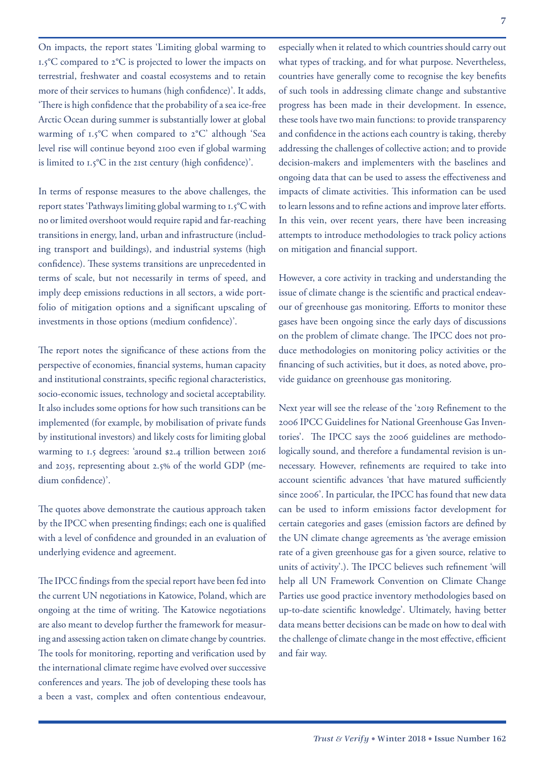On impacts, the report states 'Limiting global warming to 1.5°C compared to 2°C is projected to lower the impacts on terrestrial, freshwater and coastal ecosystems and to retain more of their services to humans (high confidence)'. It adds, 'There is high confidence that the probability of a sea ice-free Arctic Ocean during summer is substantially lower at global warming of 1.5°C when compared to 2°C' although 'Sea level rise will continue beyond 2100 even if global warming is limited to 1.5°C in the 21st century (high confidence)'.

In terms of response measures to the above challenges, the report states 'Pathways limiting global warming to 1.5°C with no or limited overshoot would require rapid and far-reaching transitions in energy, land, urban and infrastructure (including transport and buildings), and industrial systems (high confidence). These systems transitions are unprecedented in terms of scale, but not necessarily in terms of speed, and imply deep emissions reductions in all sectors, a wide portfolio of mitigation options and a significant upscaling of investments in those options (medium confidence)'.

The report notes the significance of these actions from the perspective of economies, financial systems, human capacity and institutional constraints, specific regional characteristics, socio-economic issues, technology and societal acceptability. It also includes some options for how such transitions can be implemented (for example, by mobilisation of private funds by institutional investors) and likely costs for limiting global warming to 1.5 degrees: 'around \$2.4 trillion between 2016 and 2035, representing about 2.5% of the world GDP (medium confidence)'.

The quotes above demonstrate the cautious approach taken by the IPCC when presenting findings; each one is qualified with a level of confidence and grounded in an evaluation of underlying evidence and agreement.

The IPCC findings from the special report have been fed into the current UN negotiations in Katowice, Poland, which are ongoing at the time of writing. The Katowice negotiations are also meant to develop further the framework for measuring and assessing action taken on climate change by countries. The tools for monitoring, reporting and verification used by the international climate regime have evolved over successive conferences and years. The job of developing these tools has a been a vast, complex and often contentious endeavour,

especially when it related to which countries should carry out what types of tracking, and for what purpose. Nevertheless, countries have generally come to recognise the key benefits of such tools in addressing climate change and substantive progress has been made in their development. In essence, these tools have two main functions: to provide transparency and confidence in the actions each country is taking, thereby addressing the challenges of collective action; and to provide decision-makers and implementers with the baselines and ongoing data that can be used to assess the effectiveness and impacts of climate activities. This information can be used to learn lessons and to refine actions and improve later efforts. In this vein, over recent years, there have been increasing attempts to introduce methodologies to track policy actions on mitigation and financial support.

However, a core activity in tracking and understanding the issue of climate change is the scientific and practical endeavour of greenhouse gas monitoring. Efforts to monitor these gases have been ongoing since the early days of discussions on the problem of climate change. The IPCC does not produce methodologies on monitoring policy activities or the financing of such activities, but it does, as noted above, provide guidance on greenhouse gas monitoring.

Next year will see the release of the '2019 Refinement to the 2006 IPCC Guidelines for National Greenhouse Gas Inventories'. The IPCC says the 2006 guidelines are methodologically sound, and therefore a fundamental revision is unnecessary. However, refinements are required to take into account scientific advances 'that have matured sufficiently since 2006'. In particular, the IPCC has found that new data can be used to inform emissions factor development for certain categories and gases (emission factors are defined by the UN climate change agreements as 'the average emission rate of a given greenhouse gas for a given source, relative to units of activity'.). The IPCC believes such refinement 'will help all UN Framework Convention on Climate Change Parties use good practice inventory methodologies based on up-to-date scientific knowledge'. Ultimately, having better data means better decisions can be made on how to deal with the challenge of climate change in the most effective, efficient and fair way.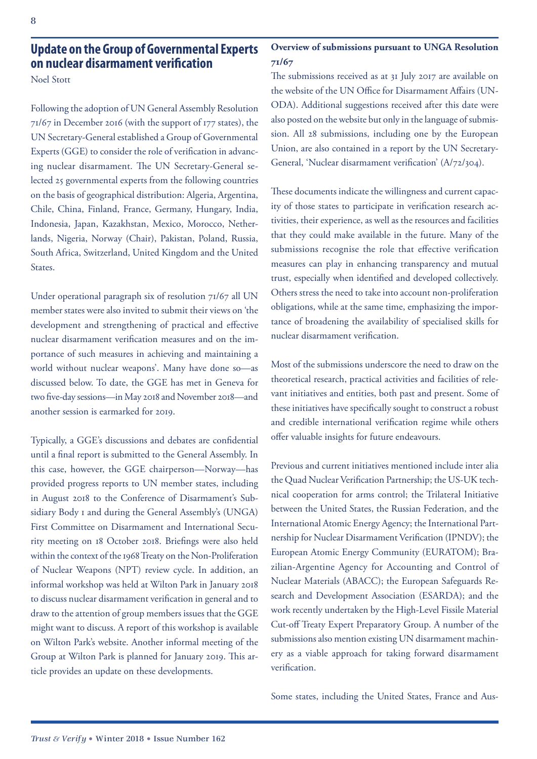### **Update on the Group of Governmental Experts on nuclear disarmament verification**

Noel Stott

Following the adoption of UN General Assembly Resolution 71/67 in December 2016 (with the support of 177 states), the UN Secretary-General established a Group of Governmental Experts (GGE) to consider the role of verification in advancing nuclear disarmament. The UN Secretary-General selected 25 governmental experts from the following countries on the basis of geographical distribution: Algeria, Argentina, Chile, China, Finland, France, Germany, Hungary, India, Indonesia, Japan, Kazakhstan, Mexico, Morocco, Netherlands, Nigeria, Norway (Chair), Pakistan, Poland, Russia, South Africa, Switzerland, United Kingdom and the United States.

Under operational paragraph six of resolution 71/67 all UN member states were also invited to submit their views on 'the development and strengthening of practical and effective nuclear disarmament verification measures and on the importance of such measures in achieving and maintaining a world without nuclear weapons'. Many have done so—as discussed below. To date, the GGE has met in Geneva for two five-day sessions—in May 2018 and November 2018—and another session is earmarked for 2019.

Typically, a GGE's discussions and debates are confidential until a final report is submitted to the General Assembly. In this case, however, the GGE chairperson—Norway—has provided progress reports to UN member states, including in August 2018 to the Conference of Disarmament's Subsidiary Body 1 and during the General Assembly's (UNGA) First Committee on Disarmament and International Security meeting on 18 October 2018. Briefings were also held within the context of the 1968 Treaty on the Non-Proliferation of Nuclear Weapons (NPT) review cycle. In addition, an informal workshop was held at Wilton Park in January 2018 to discuss nuclear disarmament verification in general and to draw to the attention of group members issues that the GGE might want to discuss. A report of this workshop is available on Wilton Park's website. Another informal meeting of the Group at Wilton Park is planned for January 2019. This article provides an update on these developments.

### **Overview of submissions pursuant to UNGA Resolution 71/67**

The submissions received as at 31 July 2017 are available on the website of the UN Office for Disarmament Affairs (UN-ODA). Additional suggestions received after this date were also posted on the website but only in the language of submission. All 28 submissions, including one by the European Union, are also contained in a report by the UN Secretary-General, 'Nuclear disarmament verification' (A/72/304).

These documents indicate the willingness and current capacity of those states to participate in verification research activities, their experience, as well as the resources and facilities that they could make available in the future. Many of the submissions recognise the role that effective verification measures can play in enhancing transparency and mutual trust, especially when identified and developed collectively. Others stress the need to take into account non-proliferation obligations, while at the same time, emphasizing the importance of broadening the availability of specialised skills for nuclear disarmament verification.

Most of the submissions underscore the need to draw on the theoretical research, practical activities and facilities of relevant initiatives and entities, both past and present. Some of these initiatives have specifically sought to construct a robust and credible international verification regime while others offer valuable insights for future endeavours.

Previous and current initiatives mentioned include inter alia the Quad Nuclear Verification Partnership; the US-UK technical cooperation for arms control; the Trilateral Initiative between the United States, the Russian Federation, and the International Atomic Energy Agency; the International Partnership for Nuclear Disarmament Verification (IPNDV); the European Atomic Energy Community (EURATOM); Brazilian-Argentine Agency for Accounting and Control of Nuclear Materials (ABACC); the European Safeguards Research and Development Association (ESARDA); and the work recently undertaken by the High-Level Fissile Material Cut-off Treaty Expert Preparatory Group. A number of the submissions also mention existing UN disarmament machinery as a viable approach for taking forward disarmament verification.

Some states, including the United States, France and Aus-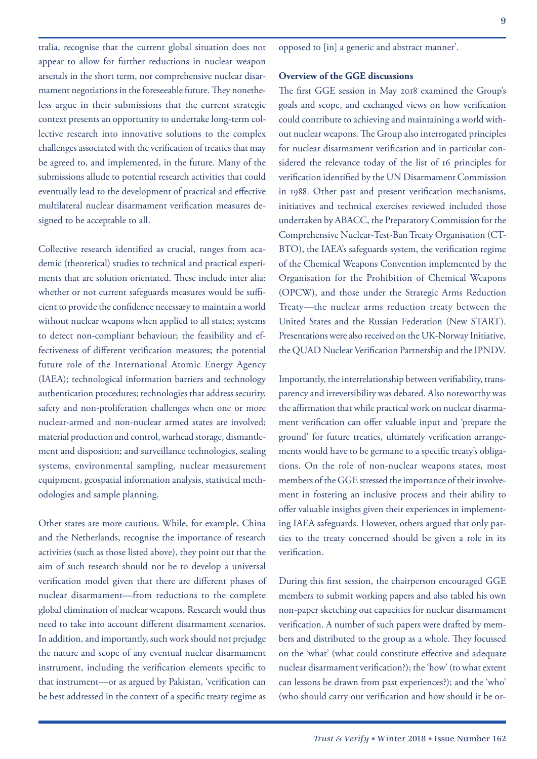tralia, recognise that the current global situation does not appear to allow for further reductions in nuclear weapon arsenals in the short term, nor comprehensive nuclear disarmament negotiations in the foreseeable future. They nonetheless argue in their submissions that the current strategic context presents an opportunity to undertake long-term collective research into innovative solutions to the complex challenges associated with the verification of treaties that may be agreed to, and implemented, in the future. Many of the submissions allude to potential research activities that could eventually lead to the development of practical and effective multilateral nuclear disarmament verification measures designed to be acceptable to all.

Collective research identified as crucial, ranges from academic (theoretical) studies to technical and practical experiments that are solution orientated. These include inter alia: whether or not current safeguards measures would be sufficient to provide the confidence necessary to maintain a world without nuclear weapons when applied to all states; systems to detect non-compliant behaviour; the feasibility and effectiveness of different verification measures; the potential future role of the International Atomic Energy Agency (IAEA); technological information barriers and technology authentication procedures; technologies that address security, safety and non-proliferation challenges when one or more nuclear-armed and non-nuclear armed states are involved; material production and control, warhead storage, dismantlement and disposition; and surveillance technologies, sealing systems, environmental sampling, nuclear measurement equipment, geospatial information analysis, statistical methodologies and sample planning.

Other states are more cautious. While, for example, China and the Netherlands, recognise the importance of research activities (such as those listed above), they point out that the aim of such research should not be to develop a universal verification model given that there are different phases of nuclear disarmament—from reductions to the complete global elimination of nuclear weapons. Research would thus need to take into account different disarmament scenarios. In addition, and importantly, such work should not prejudge the nature and scope of any eventual nuclear disarmament instrument, including the verification elements specific to that instrument—or as argued by Pakistan, 'verification can be best addressed in the context of a specific treaty regime as

opposed to [in] a generic and abstract manner'.

### **Overview of the GGE discussions**

The first GGE session in May 2018 examined the Group's goals and scope, and exchanged views on how verification could contribute to achieving and maintaining a world without nuclear weapons. The Group also interrogated principles for nuclear disarmament verification and in particular considered the relevance today of the list of 16 principles for verification identified by the UN Disarmament Commission in 1988. Other past and present verification mechanisms, initiatives and technical exercises reviewed included those undertaken by ABACC, the Preparatory Commission for the Comprehensive Nuclear-Test-Ban Treaty Organisation (CT-BTO), the IAEA's safeguards system, the verification regime of the Chemical Weapons Convention implemented by the Organisation for the Prohibition of Chemical Weapons (OPCW), and those under the Strategic Arms Reduction Treaty—the nuclear arms reduction treaty between the United States and the Russian Federation (New START). Presentations were also received on the UK-Norway Initiative, the QUAD Nuclear Verification Partnership and the IPNDV.

Importantly, the interrelationship between verifiability, transparency and irreversibility was debated. Also noteworthy was the affirmation that while practical work on nuclear disarmament verification can offer valuable input and 'prepare the ground' for future treaties, ultimately verification arrangements would have to be germane to a specific treaty's obligations. On the role of non-nuclear weapons states, most members of the GGE stressed the importance of their involvement in fostering an inclusive process and their ability to offer valuable insights given their experiences in implementing IAEA safeguards. However, others argued that only parties to the treaty concerned should be given a role in its verification.

During this first session, the chairperson encouraged GGE members to submit working papers and also tabled his own non-paper sketching out capacities for nuclear disarmament verification. A number of such papers were drafted by members and distributed to the group as a whole. They focussed on the 'what' (what could constitute effective and adequate nuclear disarmament verification?); the 'how' (to what extent can lessons be drawn from past experiences?); and the 'who' (who should carry out verification and how should it be or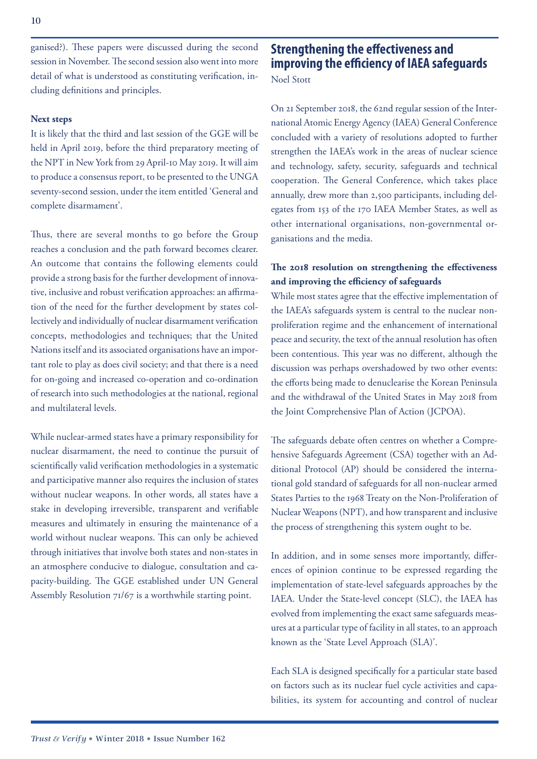ganised?). These papers were discussed during the second session in November. The second session also went into more detail of what is understood as constituting verification, including definitions and principles.

### **Next steps**

It is likely that the third and last session of the GGE will be held in April 2019, before the third preparatory meeting of the NPT in New York from 29 April-10 May 2019. It will aim to produce a consensus report, to be presented to the UNGA seventy-second session, under the item entitled 'General and complete disarmament'.

Thus, there are several months to go before the Group reaches a conclusion and the path forward becomes clearer. An outcome that contains the following elements could provide a strong basis for the further development of innovative, inclusive and robust verification approaches: an affirmation of the need for the further development by states collectively and individually of nuclear disarmament verification concepts, methodologies and techniques; that the United Nations itself and its associated organisations have an important role to play as does civil society; and that there is a need for on-going and increased co-operation and co-ordination of research into such methodologies at the national, regional and multilateral levels.

While nuclear-armed states have a primary responsibility for nuclear disarmament, the need to continue the pursuit of scientifically valid verification methodologies in a systematic and participative manner also requires the inclusion of states without nuclear weapons. In other words, all states have a stake in developing irreversible, transparent and verifiable measures and ultimately in ensuring the maintenance of a world without nuclear weapons. This can only be achieved through initiatives that involve both states and non-states in an atmosphere conducive to dialogue, consultation and capacity-building. The GGE established under UN General Assembly Resolution 71/67 is a worthwhile starting point.

## **Strengthening the effectiveness and improving the efficiency of IAEA safeguards**

Noel Stott

On 21 September 2018, the 62nd regular session of the International Atomic Energy Agency (IAEA) General Conference concluded with a variety of resolutions adopted to further strengthen the IAEA's work in the areas of nuclear science and technology, safety, security, safeguards and technical cooperation. The General Conference, which takes place annually, drew more than 2,500 participants, including delegates from 153 of the 170 IAEA Member States, as well as other international organisations, non-governmental organisations and the media.

### **The 2018 resolution on strengthening the effectiveness and improving the efficiency of safeguards**

While most states agree that the effective implementation of the IAEA's safeguards system is central to the nuclear nonproliferation regime and the enhancement of international peace and security, the text of the annual resolution has often been contentious. This year was no different, although the discussion was perhaps overshadowed by two other events: the efforts being made to denuclearise the Korean Peninsula and the withdrawal of the United States in May 2018 from the Joint Comprehensive Plan of Action (JCPOA).

The safeguards debate often centres on whether a Comprehensive Safeguards Agreement (CSA) together with an Additional Protocol (AP) should be considered the international gold standard of safeguards for all non-nuclear armed States Parties to the 1968 Treaty on the Non-Proliferation of Nuclear Weapons (NPT), and how transparent and inclusive the process of strengthening this system ought to be.

In addition, and in some senses more importantly, differences of opinion continue to be expressed regarding the implementation of state-level safeguards approaches by the IAEA. Under the State-level concept (SLC), the IAEA has evolved from implementing the exact same safeguards measures at a particular type of facility in all states, to an approach known as the 'State Level Approach (SLA)'.

Each SLA is designed specifically for a particular state based on factors such as its nuclear fuel cycle activities and capabilities, its system for accounting and control of nuclear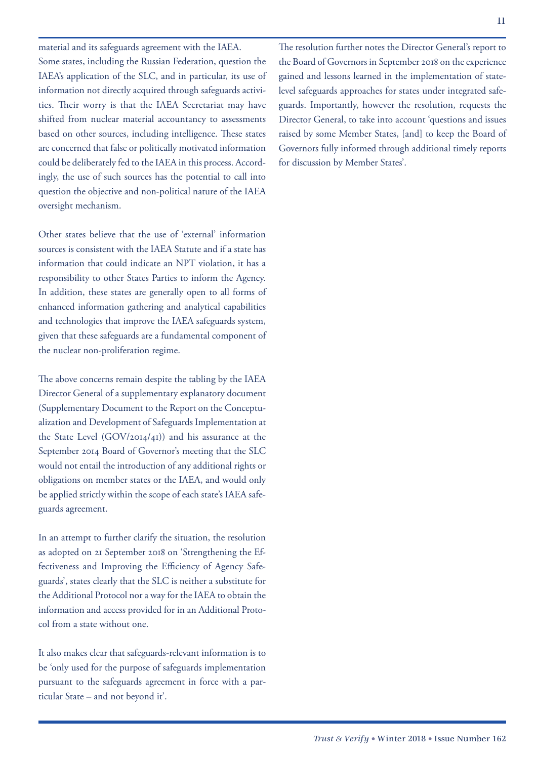material and its safeguards agreement with the IAEA. Some states, including the Russian Federation, question the IAEA's application of the SLC, and in particular, its use of information not directly acquired through safeguards activities. Their worry is that the IAEA Secretariat may have shifted from nuclear material accountancy to assessments based on other sources, including intelligence. These states are concerned that false or politically motivated information could be deliberately fed to the IAEA in this process. Accordingly, the use of such sources has the potential to call into question the objective and non-political nature of the IAEA oversight mechanism.

Other states believe that the use of 'external' information sources is consistent with the IAEA Statute and if a state has information that could indicate an NPT violation, it has a responsibility to other States Parties to inform the Agency. In addition, these states are generally open to all forms of enhanced information gathering and analytical capabilities and technologies that improve the IAEA safeguards system, given that these safeguards are a fundamental component of the nuclear non-proliferation regime.

The above concerns remain despite the tabling by the IAEA Director General of a supplementary explanatory document (Supplementary Document to the Report on the Conceptualization and Development of Safeguards Implementation at the State Level (GOV/2014/41)) and his assurance at the September 2014 Board of Governor's meeting that the SLC would not entail the introduction of any additional rights or obligations on member states or the IAEA, and would only be applied strictly within the scope of each state's IAEA safeguards agreement.

In an attempt to further clarify the situation, the resolution as adopted on 21 September 2018 on 'Strengthening the Effectiveness and Improving the Efficiency of Agency Safeguards', states clearly that the SLC is neither a substitute for the Additional Protocol nor a way for the IAEA to obtain the information and access provided for in an Additional Protocol from a state without one.

It also makes clear that safeguards-relevant information is to be 'only used for the purpose of safeguards implementation pursuant to the safeguards agreement in force with a particular State – and not beyond it'.

The resolution further notes the Director General's report to the Board of Governors in September 2018 on the experience gained and lessons learned in the implementation of statelevel safeguards approaches for states under integrated safeguards. Importantly, however the resolution, requests the Director General, to take into account 'questions and issues raised by some Member States, [and] to keep the Board of Governors fully informed through additional timely reports for discussion by Member States'.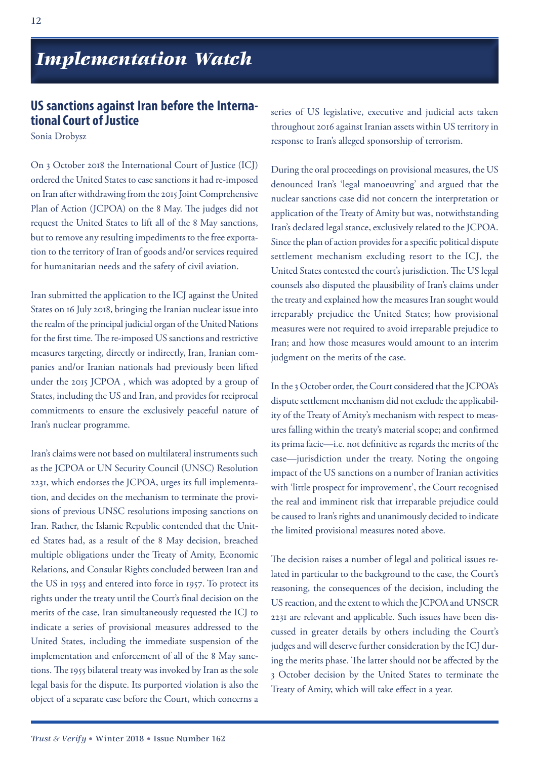*Implementation Watch*

### **US sanctions against Iran before the International Court of Justice**

Sonia Drobysz

On 3 October 2018 the International Court of Justice (ICJ) ordered the United States to ease sanctions it had re-imposed on Iran after withdrawing from the 2015 Joint Comprehensive Plan of Action (JCPOA) on the 8 May. The judges did not request the United States to lift all of the 8 May sanctions, but to remove any resulting impediments to the free exportation to the territory of Iran of goods and/or services required for humanitarian needs and the safety of civil aviation.

Iran submitted the application to the ICJ against the United States on 16 July 2018, bringing the Iranian nuclear issue into the realm of the principal judicial organ of the United Nations for the first time. The re-imposed US sanctions and restrictive measures targeting, directly or indirectly, Iran, Iranian companies and/or Iranian nationals had previously been lifted under the 2015 JCPOA , which was adopted by a group of States, including the US and Iran, and provides for reciprocal commitments to ensure the exclusively peaceful nature of Iran's nuclear programme.

Iran's claims were not based on multilateral instruments such as the JCPOA or UN Security Council (UNSC) Resolution 2231, which endorses the JCPOA, urges its full implementation, and decides on the mechanism to terminate the provisions of previous UNSC resolutions imposing sanctions on Iran. Rather, the Islamic Republic contended that the United States had, as a result of the 8 May decision, breached multiple obligations under the Treaty of Amity, Economic Relations, and Consular Rights concluded between Iran and the US in 1955 and entered into force in 1957. To protect its rights under the treaty until the Court's final decision on the merits of the case, Iran simultaneously requested the ICJ to indicate a series of provisional measures addressed to the United States, including the immediate suspension of the implementation and enforcement of all of the 8 May sanctions. The 1955 bilateral treaty was invoked by Iran as the sole legal basis for the dispute. Its purported violation is also the object of a separate case before the Court, which concerns a

series of US legislative, executive and judicial acts taken throughout 2016 against Iranian assets within US territory in response to Iran's alleged sponsorship of terrorism.

During the oral proceedings on provisional measures, the US denounced Iran's 'legal manoeuvring' and argued that the nuclear sanctions case did not concern the interpretation or application of the Treaty of Amity but was, notwithstanding Iran's declared legal stance, exclusively related to the JCPOA. Since the plan of action provides for a specific political dispute settlement mechanism excluding resort to the ICJ, the United States contested the court's jurisdiction. The US legal counsels also disputed the plausibility of Iran's claims under the treaty and explained how the measures Iran sought would irreparably prejudice the United States; how provisional measures were not required to avoid irreparable prejudice to Iran; and how those measures would amount to an interim judgment on the merits of the case.

In the 3 October order, the Court considered that the JCPOA's dispute settlement mechanism did not exclude the applicability of the Treaty of Amity's mechanism with respect to measures falling within the treaty's material scope; and confirmed its prima facie—i.e. not definitive as regards the merits of the case—jurisdiction under the treaty. Noting the ongoing impact of the US sanctions on a number of Iranian activities with 'little prospect for improvement', the Court recognised the real and imminent risk that irreparable prejudice could be caused to Iran's rights and unanimously decided to indicate the limited provisional measures noted above.

The decision raises a number of legal and political issues related in particular to the background to the case, the Court's reasoning, the consequences of the decision, including the US reaction, and the extent to which the JCPOA and UNSCR 2231 are relevant and applicable. Such issues have been discussed in greater details by others including the Court's judges and will deserve further consideration by the ICJ during the merits phase. The latter should not be affected by the 3 October decision by the United States to terminate the Treaty of Amity, which will take effect in a year.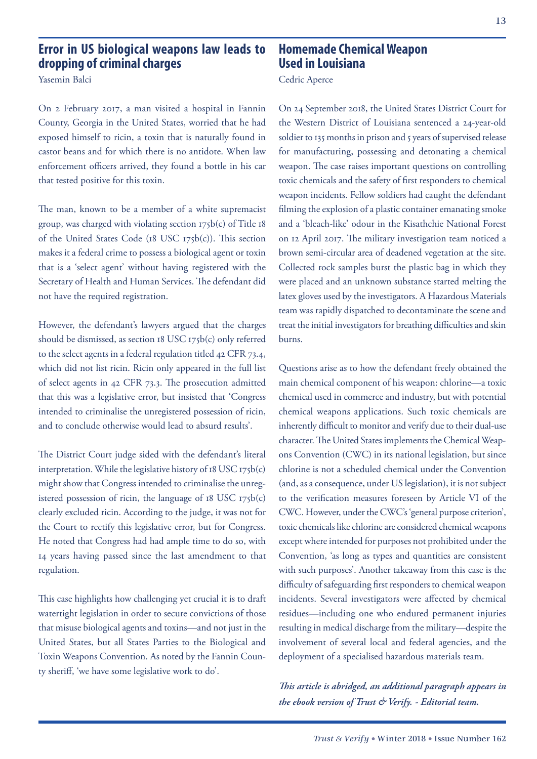### **Error in US biological weapons law leads to dropping of criminal charges**

Yasemin Balci

On 2 February 2017, a man visited a hospital in Fannin County, Georgia in the United States, worried that he had exposed himself to ricin, a toxin that is naturally found in castor beans and for which there is no antidote. When law enforcement officers arrived, they found a bottle in his car that tested positive for this toxin.

The man, known to be a member of a white supremacist group, was charged with violating section 175b(c) of Title 18 of the United States Code (18 USC 175b(c)). This section makes it a federal crime to possess a biological agent or toxin that is a 'select agent' without having registered with the Secretary of Health and Human Services. The defendant did not have the required registration.

However, the defendant's lawyers argued that the charges should be dismissed, as section 18 USC 175b(c) only referred to the select agents in a federal regulation titled 42 CFR 73.4, which did not list ricin. Ricin only appeared in the full list of select agents in 42 CFR 73.3. The prosecution admitted that this was a legislative error, but insisted that 'Congress intended to criminalise the unregistered possession of ricin, and to conclude otherwise would lead to absurd results'.

The District Court judge sided with the defendant's literal interpretation. While the legislative history of 18 USC 175b(c) might show that Congress intended to criminalise the unregistered possession of ricin, the language of  $18$  USC  $175b(c)$ clearly excluded ricin. According to the judge, it was not for the Court to rectify this legislative error, but for Congress. He noted that Congress had had ample time to do so, with 14 years having passed since the last amendment to that regulation.

This case highlights how challenging yet crucial it is to draft watertight legislation in order to secure convictions of those that misuse biological agents and toxins—and not just in the United States, but all States Parties to the Biological and Toxin Weapons Convention. As noted by the Fannin County sheriff, 'we have some legislative work to do'.

### **Homemade Chemical Weapon Used in Louisiana**

### Cedric Aperce

On 24 September 2018, the United States District Court for the Western District of Louisiana sentenced a 24-year-old soldier to 135 months in prison and 5 years of supervised release for manufacturing, possessing and detonating a chemical weapon. The case raises important questions on controlling toxic chemicals and the safety of first responders to chemical weapon incidents. Fellow soldiers had caught the defendant filming the explosion of a plastic container emanating smoke and a 'bleach-like' odour in the Kisathchie National Forest on 12 April 2017. The military investigation team noticed a brown semi-circular area of deadened vegetation at the site. Collected rock samples burst the plastic bag in which they were placed and an unknown substance started melting the latex gloves used by the investigators. A Hazardous Materials team was rapidly dispatched to decontaminate the scene and treat the initial investigators for breathing difficulties and skin burns.

Questions arise as to how the defendant freely obtained the main chemical component of his weapon: chlorine—a toxic chemical used in commerce and industry, but with potential chemical weapons applications. Such toxic chemicals are inherently difficult to monitor and verify due to their dual-use character. The United States implements the Chemical Weapons Convention (CWC) in its national legislation, but since chlorine is not a scheduled chemical under the Convention (and, as a consequence, under US legislation), it is not subject to the verification measures foreseen by Article VI of the CWC. However, under the CWC's 'general purpose criterion', toxic chemicals like chlorine are considered chemical weapons except where intended for purposes not prohibited under the Convention, 'as long as types and quantities are consistent with such purposes'. Another takeaway from this case is the difficulty of safeguarding first responders to chemical weapon incidents. Several investigators were affected by chemical residues—including one who endured permanent injuries resulting in medical discharge from the military—despite the involvement of several local and federal agencies, and the deployment of a specialised hazardous materials team.

*This article is abridged, an additional paragraph appears in the ebook version of Trust & Verify. - Editorial team.*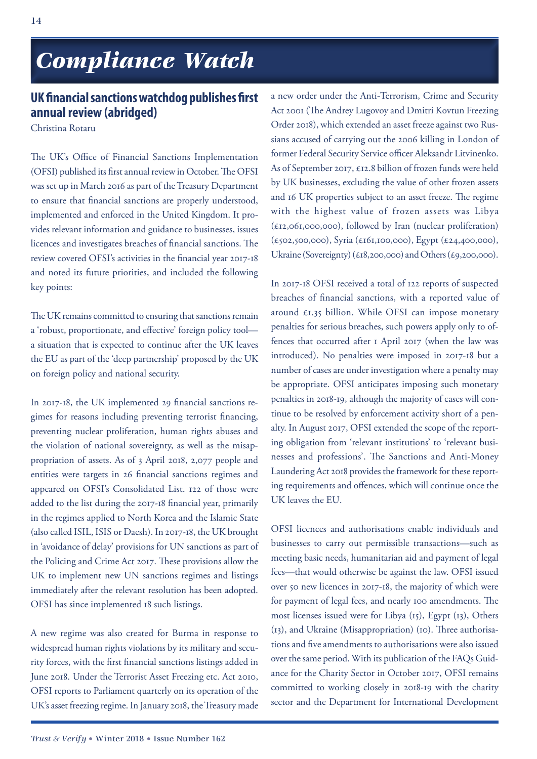# *Compliance Watch Compliance Watch*

### **UK financial sanctions watchdog publishes first annual review (abridged)**

Christina Rotaru

The UK's Office of Financial Sanctions Implementation (OFSI) published its first annual review in October. The OFSI was set up in March 2016 as part of the Treasury Department to ensure that financial sanctions are properly understood, implemented and enforced in the United Kingdom. It provides relevant information and guidance to businesses, issues licences and investigates breaches of financial sanctions. The review covered OFSI's activities in the financial year 2017-18 and noted its future priorities, and included the following key points:

The UK remains committed to ensuring that sanctions remain a 'robust, proportionate, and effective' foreign policy tool a situation that is expected to continue after the UK leaves the EU as part of the 'deep partnership' proposed by the UK on foreign policy and national security.

In 2017-18, the UK implemented 29 financial sanctions regimes for reasons including preventing terrorist financing, preventing nuclear proliferation, human rights abuses and the violation of national sovereignty, as well as the misappropriation of assets. As of 3 April 2018, 2,077 people and entities were targets in 26 financial sanctions regimes and appeared on OFSI's Consolidated List. 122 of those were added to the list during the 2017-18 financial year, primarily in the regimes applied to North Korea and the Islamic State (also called ISIL, ISIS or Daesh). In 2017-18, the UK brought in 'avoidance of delay' provisions for UN sanctions as part of the Policing and Crime Act 2017. These provisions allow the UK to implement new UN sanctions regimes and listings immediately after the relevant resolution has been adopted. OFSI has since implemented 18 such listings.

A new regime was also created for Burma in response to widespread human rights violations by its military and security forces, with the first financial sanctions listings added in June 2018. Under the Terrorist Asset Freezing etc. Act 2010, OFSI reports to Parliament quarterly on its operation of the UK's asset freezing regime. In January 2018, the Treasury made

a new order under the Anti-Terrorism, Crime and Security Act 2001 (The Andrey Lugovoy and Dmitri Kovtun Freezing Order 2018), which extended an asset freeze against two Russians accused of carrying out the 2006 killing in London of former Federal Security Service officer Aleksandr Litvinenko. As of September 2017, £12.8 billion of frozen funds were held by UK businesses, excluding the value of other frozen assets and 16 UK properties subject to an asset freeze. The regime with the highest value of frozen assets was Libya (£12,061,000,000), followed by Iran (nuclear proliferation) (£502,500,000), Syria (£161,100,000), Egypt (£24,400,000), Ukraine (Sovereignty) (£18,200,000) and Others (£9,200,000).

In 2017-18 OFSI received a total of 122 reports of suspected breaches of financial sanctions, with a reported value of around £1.35 billion. While OFSI can impose monetary penalties for serious breaches, such powers apply only to offences that occurred after 1 April 2017 (when the law was introduced). No penalties were imposed in 2017-18 but a number of cases are under investigation where a penalty may be appropriate. OFSI anticipates imposing such monetary penalties in 2018-19, although the majority of cases will continue to be resolved by enforcement activity short of a penalty. In August 2017, OFSI extended the scope of the reporting obligation from 'relevant institutions' to 'relevant businesses and professions'. The Sanctions and Anti-Money Laundering Act 2018 provides the framework for these reporting requirements and offences, which will continue once the UK leaves the EU.

OFSI licences and authorisations enable individuals and businesses to carry out permissible transactions—such as meeting basic needs, humanitarian aid and payment of legal fees—that would otherwise be against the law. OFSI issued over 50 new licences in 2017-18, the majority of which were for payment of legal fees, and nearly 100 amendments. The most licenses issued were for Libya (15), Egypt (13), Others (13), and Ukraine (Misappropriation) (10). Three authorisations and five amendments to authorisations were also issued over the same period. With its publication of the FAQs Guidance for the Charity Sector in October 2017, OFSI remains committed to working closely in 2018-19 with the charity sector and the Department for International Development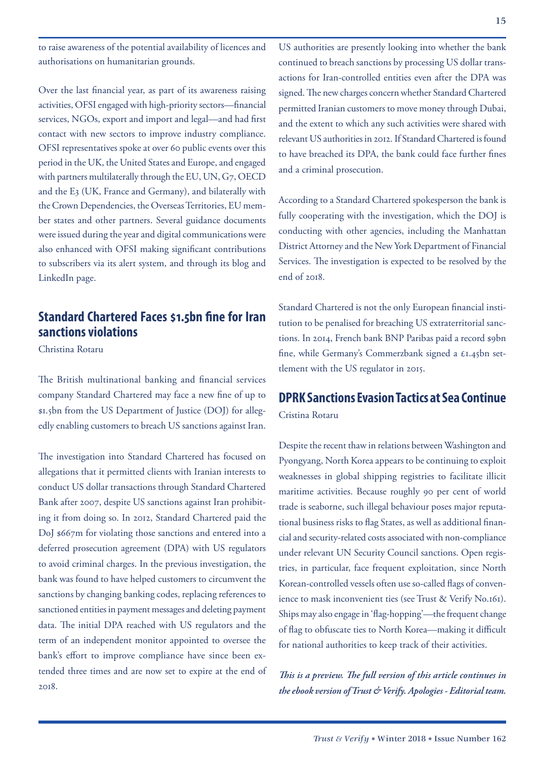to raise awareness of the potential availability of licences and authorisations on humanitarian grounds.

Over the last financial year, as part of its awareness raising activities, OFSI engaged with high-priority sectors—financial services, NGOs, export and import and legal—and had first contact with new sectors to improve industry compliance. OFSI representatives spoke at over 60 public events over this period in the UK, the United States and Europe, and engaged with partners multilaterally through the EU, UN, G7, OECD and the E3 (UK, France and Germany), and bilaterally with the Crown Dependencies, the Overseas Territories, EU member states and other partners. Several guidance documents were issued during the year and digital communications were also enhanced with OFSI making significant contributions to subscribers via its alert system, and through its blog and LinkedIn page.

### **Standard Chartered Faces \$1.5bn fine for Iran sanctions violations**

Christina Rotaru

The British multinational banking and financial services company Standard Chartered may face a new fine of up to \$1.5bn from the US Department of Justice (DOJ) for allegedly enabling customers to breach US sanctions against Iran.

The investigation into Standard Chartered has focused on allegations that it permitted clients with Iranian interests to conduct US dollar transactions through Standard Chartered Bank after 2007, despite US sanctions against Iran prohibiting it from doing so. In 2012, Standard Chartered paid the DoJ \$667m for violating those sanctions and entered into a deferred prosecution agreement (DPA) with US regulators to avoid criminal charges. In the previous investigation, the bank was found to have helped customers to circumvent the sanctions by changing banking codes, replacing references to sanctioned entities in payment messages and deleting payment data. The initial DPA reached with US regulators and the term of an independent monitor appointed to oversee the bank's effort to improve compliance have since been extended three times and are now set to expire at the end of 2018.

US authorities are presently looking into whether the bank continued to breach sanctions by processing US dollar transactions for Iran-controlled entities even after the DPA was signed. The new charges concern whether Standard Chartered permitted Iranian customers to move money through Dubai, and the extent to which any such activities were shared with relevant US authorities in 2012. If Standard Chartered is found to have breached its DPA, the bank could face further fines and a criminal prosecution.

According to a Standard Chartered spokesperson the bank is fully cooperating with the investigation, which the DOJ is conducting with other agencies, including the Manhattan District Attorney and the New York Department of Financial Services. The investigation is expected to be resolved by the end of 2018.

Standard Chartered is not the only European financial institution to be penalised for breaching US extraterritorial sanctions. In 2014, French bank BNP Paribas paid a record \$9bn fine, while Germany's Commerzbank signed a £1.45bn settlement with the US regulator in 2015.

## **DPRK Sanctions Evasion Tactics at Sea Continue**

Cristina Rotaru

Despite the recent thaw in relations between Washington and Pyongyang, North Korea appears to be continuing to exploit weaknesses in global shipping registries to facilitate illicit maritime activities. Because roughly 90 per cent of world trade is seaborne, such illegal behaviour poses major reputational business risks to flag States, as well as additional financial and security-related costs associated with non-compliance under relevant UN Security Council sanctions. Open registries, in particular, face frequent exploitation, since North Korean-controlled vessels often use so-called flags of convenience to mask inconvenient ties (see Trust & Verify No.161). Ships may also engage in 'flag-hopping'—the frequent change of flag to obfuscate ties to North Korea—making it difficult for national authorities to keep track of their activities.

*This is a preview. The full version of this article continues in the ebook version of Trust & Verify. Apologies - Editorial team.*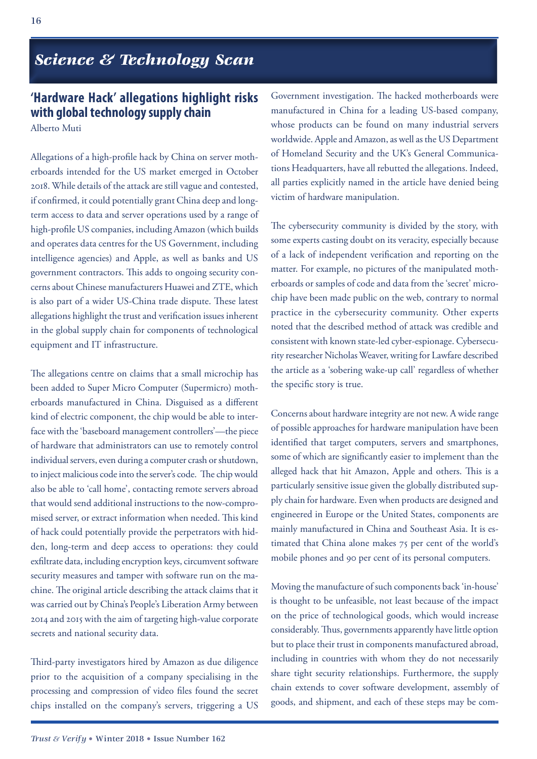## *Science & Technology Scan*

## **'Hardware Hack' allegations highlight risks with global technology supply chain**

Alberto Muti

Allegations of a high-profile hack by China on server motherboards intended for the US market emerged in October 2018. While details of the attack are still vague and contested, if confirmed, it could potentially grant China deep and longterm access to data and server operations used by a range of high-profile US companies, including Amazon (which builds and operates data centres for the US Government, including intelligence agencies) and Apple, as well as banks and US government contractors. This adds to ongoing security concerns about Chinese manufacturers Huawei and ZTE, which is also part of a wider US-China trade dispute. These latest allegations highlight the trust and verification issues inherent in the global supply chain for components of technological equipment and IT infrastructure.

The allegations centre on claims that a small microchip has been added to Super Micro Computer (Supermicro) motherboards manufactured in China. Disguised as a different kind of electric component, the chip would be able to interface with the 'baseboard management controllers'—the piece of hardware that administrators can use to remotely control individual servers, even during a computer crash or shutdown, to inject malicious code into the server's code. The chip would also be able to 'call home', contacting remote servers abroad that would send additional instructions to the now-compromised server, or extract information when needed. This kind of hack could potentially provide the perpetrators with hidden, long-term and deep access to operations: they could exfiltrate data, including encryption keys, circumvent software security measures and tamper with software run on the machine. The original article describing the attack claims that it was carried out by China's People's Liberation Army between 2014 and 2015 with the aim of targeting high-value corporate secrets and national security data.

Third-party investigators hired by Amazon as due diligence prior to the acquisition of a company specialising in the processing and compression of video files found the secret chips installed on the company's servers, triggering a US Government investigation. The hacked motherboards were manufactured in China for a leading US-based company, whose products can be found on many industrial servers worldwide. Apple and Amazon, as well as the US Department of Homeland Security and the UK's General Communications Headquarters, have all rebutted the allegations. Indeed, all parties explicitly named in the article have denied being victim of hardware manipulation.

The cybersecurity community is divided by the story, with some experts casting doubt on its veracity, especially because of a lack of independent verification and reporting on the matter. For example, no pictures of the manipulated motherboards or samples of code and data from the 'secret' microchip have been made public on the web, contrary to normal practice in the cybersecurity community. Other experts noted that the described method of attack was credible and consistent with known state-led cyber-espionage. Cybersecurity researcher Nicholas Weaver, writing for Lawfare described the article as a 'sobering wake-up call' regardless of whether the specific story is true.

Concerns about hardware integrity are not new. A wide range of possible approaches for hardware manipulation have been identified that target computers, servers and smartphones, some of which are significantly easier to implement than the alleged hack that hit Amazon, Apple and others. This is a particularly sensitive issue given the globally distributed supply chain for hardware. Even when products are designed and engineered in Europe or the United States, components are mainly manufactured in China and Southeast Asia. It is estimated that China alone makes 75 per cent of the world's mobile phones and 90 per cent of its personal computers.

Moving the manufacture of such components back 'in-house' is thought to be unfeasible, not least because of the impact on the price of technological goods, which would increase considerably. Thus, governments apparently have little option but to place their trust in components manufactured abroad, including in countries with whom they do not necessarily share tight security relationships. Furthermore, the supply chain extends to cover software development, assembly of goods, and shipment, and each of these steps may be com-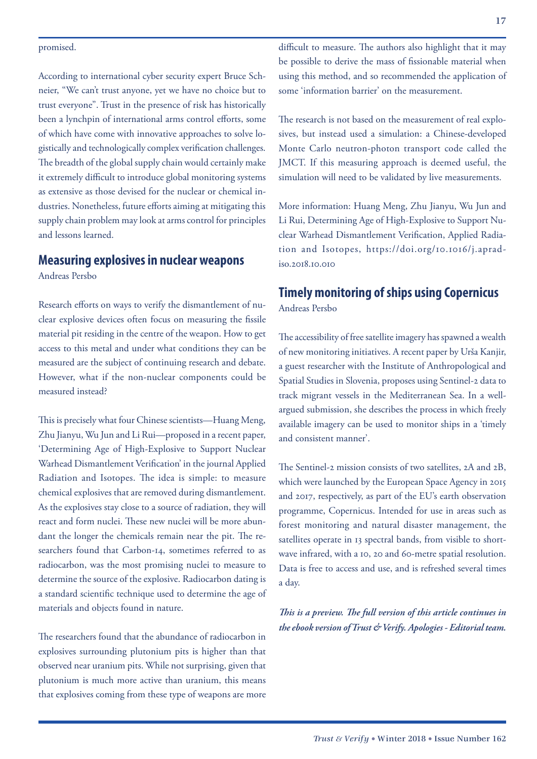### promised.

According to international cyber security expert Bruce Schneier, "We can't trust anyone, yet we have no choice but to trust everyone". Trust in the presence of risk has historically been a lynchpin of international arms control efforts, some of which have come with innovative approaches to solve logistically and technologically complex verification challenges. The breadth of the global supply chain would certainly make it extremely difficult to introduce global monitoring systems as extensive as those devised for the nuclear or chemical industries. Nonetheless, future efforts aiming at mitigating this supply chain problem may look at arms control for principles and lessons learned.

## **Measuring explosives in nuclear weapons**

Andreas Persbo

Research efforts on ways to verify the dismantlement of nuclear explosive devices often focus on measuring the fissile material pit residing in the centre of the weapon. How to get access to this metal and under what conditions they can be measured are the subject of continuing research and debate. However, what if the non-nuclear components could be measured instead?

This is precisely what four Chinese scientists—Huang Meng, Zhu Jianyu, Wu Jun and Li Rui—proposed in a recent paper, 'Determining Age of High-Explosive to Support Nuclear Warhead Dismantlement Verification' in the journal Applied Radiation and Isotopes. The idea is simple: to measure chemical explosives that are removed during dismantlement. As the explosives stay close to a source of radiation, they will react and form nuclei. These new nuclei will be more abundant the longer the chemicals remain near the pit. The researchers found that Carbon-14, sometimes referred to as radiocarbon, was the most promising nuclei to measure to determine the source of the explosive. Radiocarbon dating is a standard scientific technique used to determine the age of materials and objects found in nature.

The researchers found that the abundance of radiocarbon in explosives surrounding plutonium pits is higher than that observed near uranium pits. While not surprising, given that plutonium is much more active than uranium, this means that explosives coming from these type of weapons are more

difficult to measure. The authors also highlight that it may be possible to derive the mass of fissionable material when using this method, and so recommended the application of some 'information barrier' on the measurement.

The research is not based on the measurement of real explosives, but instead used a simulation: a Chinese-developed Monte Carlo neutron-photon transport code called the JMCT. If this measuring approach is deemed useful, the simulation will need to be validated by live measurements.

More information: Huang Meng, Zhu Jianyu, Wu Jun and Li Rui, Determining Age of High-Explosive to Support Nuclear Warhead Dismantlement Verification, Applied Radiation and Isotopes, https://doi.org/10.1016/j.apradiso.2018.10.010

## **Timely monitoring of ships using Copernicus**

Andreas Persbo

The accessibility of free satellite imagery has spawned a wealth of new monitoring initiatives. A recent paper by Urša Kanjir, a guest researcher with the Institute of Anthropological and Spatial Studies in Slovenia, proposes using Sentinel-2 data to track migrant vessels in the Mediterranean Sea. In a wellargued submission, she describes the process in which freely available imagery can be used to monitor ships in a 'timely and consistent manner'.

The Sentinel-2 mission consists of two satellites, 2A and 2B, which were launched by the European Space Agency in 2015 and 2017, respectively, as part of the EU's earth observation programme, Copernicus. Intended for use in areas such as forest monitoring and natural disaster management, the satellites operate in 13 spectral bands, from visible to shortwave infrared, with a 10, 20 and 60-metre spatial resolution. Data is free to access and use, and is refreshed several times a day.

*This is a preview. The full version of this article continues in the ebook version of Trust & Verify. Apologies - Editorial team.*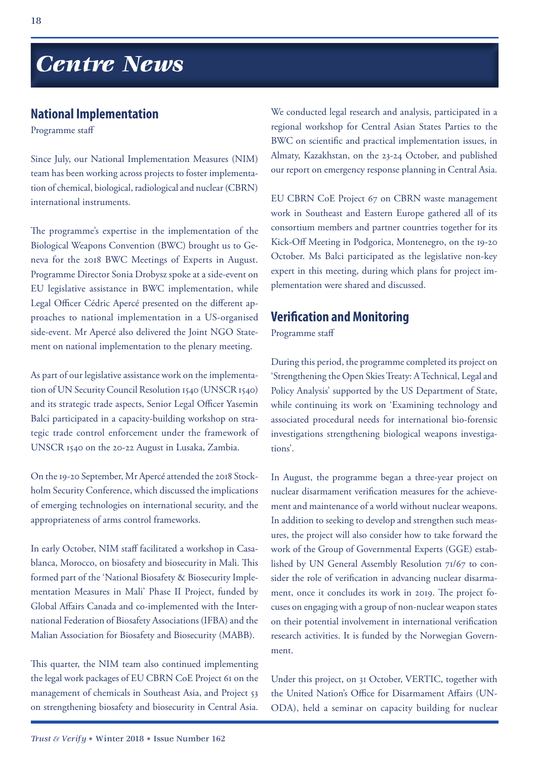# *Centre News*

### **National Implementation**

Programme staff

Since July, our National Implementation Measures (NIM) team has been working across projects to foster implementation of chemical, biological, radiological and nuclear (CBRN) international instruments.

The programme's expertise in the implementation of the Biological Weapons Convention (BWC) brought us to Geneva for the 2018 BWC Meetings of Experts in August. Programme Director Sonia Drobysz spoke at a side-event on EU legislative assistance in BWC implementation, while Legal Officer Cédric Apercé presented on the different approaches to national implementation in a US-organised side-event. Mr Apercé also delivered the Joint NGO Statement on national implementation to the plenary meeting.

As part of our legislative assistance work on the implementation of UN Security Council Resolution 1540 (UNSCR 1540) and its strategic trade aspects, Senior Legal Officer Yasemin Balci participated in a capacity-building workshop on strategic trade control enforcement under the framework of UNSCR 1540 on the 20-22 August in Lusaka, Zambia.

On the 19-20 September, Mr Apercé attended the 2018 Stockholm Security Conference, which discussed the implications of emerging technologies on international security, and the appropriateness of arms control frameworks.

In early October, NIM staff facilitated a workshop in Casablanca, Morocco, on biosafety and biosecurity in Mali. This formed part of the 'National Biosafety & Biosecurity Implementation Measures in Mali' Phase II Project, funded by Global Affairs Canada and co-implemented with the International Federation of Biosafety Associations (IFBA) and the Malian Association for Biosafety and Biosecurity (MABB).

This quarter, the NIM team also continued implementing the legal work packages of EU CBRN CoE Project 61 on the management of chemicals in Southeast Asia, and Project 53 on strengthening biosafety and biosecurity in Central Asia.

We conducted legal research and analysis, participated in a regional workshop for Central Asian States Parties to the BWC on scientific and practical implementation issues, in Almaty, Kazakhstan, on the 23-24 October, and published our report on emergency response planning in Central Asia.

EU CBRN CoE Project 67 on CBRN waste management work in Southeast and Eastern Europe gathered all of its consortium members and partner countries together for its Kick-Off Meeting in Podgorica, Montenegro, on the 19-20 October. Ms Balci participated as the legislative non-key expert in this meeting, during which plans for project implementation were shared and discussed.

### **Verification and Monitoring**

Programme staff

During this period, the programme completed its project on 'Strengthening the Open Skies Treaty: A Technical, Legal and Policy Analysis' supported by the US Department of State, while continuing its work on 'Examining technology and associated procedural needs for international bio-forensic investigations strengthening biological weapons investigations'.

In August, the programme began a three-year project on nuclear disarmament verification measures for the achievement and maintenance of a world without nuclear weapons. In addition to seeking to develop and strengthen such measures, the project will also consider how to take forward the work of the Group of Governmental Experts (GGE) established by UN General Assembly Resolution 71/67 to consider the role of verification in advancing nuclear disarmament, once it concludes its work in 2019. The project focuses on engaging with a group of non-nuclear weapon states on their potential involvement in international verification research activities. It is funded by the Norwegian Government.

Under this project, on 31 October, VERTIC, together with the United Nation's Office for Disarmament Affairs (UN-ODA), held a seminar on capacity building for nuclear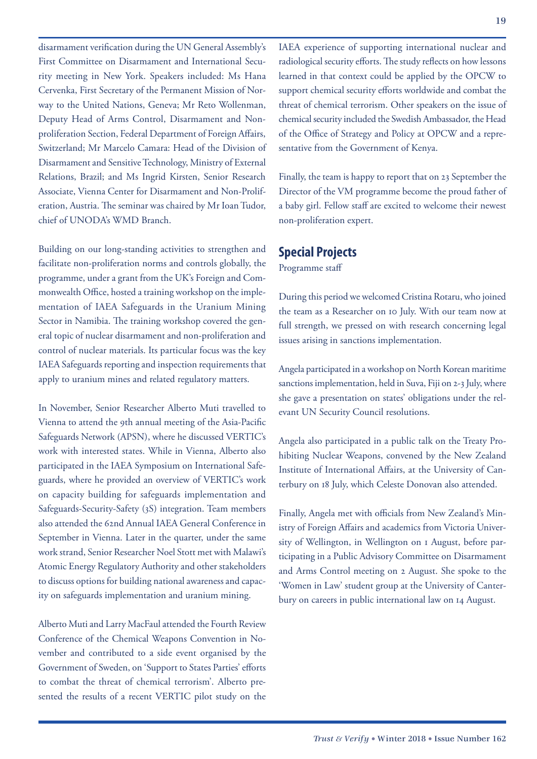disarmament verification during the UN General Assembly's First Committee on Disarmament and International Security meeting in New York. Speakers included: Ms Hana Cervenka, First Secretary of the Permanent Mission of Norway to the United Nations, Geneva; Mr Reto Wollenman, Deputy Head of Arms Control, Disarmament and Nonproliferation Section, Federal Department of Foreign Affairs, Switzerland; Mr Marcelo Camara: Head of the Division of Disarmament and Sensitive Technology, Ministry of External Relations, Brazil; and Ms Ingrid Kirsten, Senior Research Associate, Vienna Center for Disarmament and Non-Proliferation, Austria. The seminar was chaired by Mr Ioan Tudor, chief of UNODA's WMD Branch.

Building on our long-standing activities to strengthen and facilitate non-proliferation norms and controls globally, the programme, under a grant from the UK's Foreign and Commonwealth Office, hosted a training workshop on the implementation of IAEA Safeguards in the Uranium Mining Sector in Namibia. The training workshop covered the general topic of nuclear disarmament and non-proliferation and control of nuclear materials. Its particular focus was the key IAEA Safeguards reporting and inspection requirements that apply to uranium mines and related regulatory matters.

In November, Senior Researcher Alberto Muti travelled to Vienna to attend the 9th annual meeting of the Asia-Pacific Safeguards Network (APSN), where he discussed VERTIC's work with interested states. While in Vienna, Alberto also participated in the IAEA Symposium on International Safeguards, where he provided an overview of VERTIC's work on capacity building for safeguards implementation and Safeguards-Security-Safety (3S) integration. Team members also attended the 62nd Annual IAEA General Conference in September in Vienna. Later in the quarter, under the same work strand, Senior Researcher Noel Stott met with Malawi's Atomic Energy Regulatory Authority and other stakeholders to discuss options for building national awareness and capacity on safeguards implementation and uranium mining.

Alberto Muti and Larry MacFaul attended the Fourth Review Conference of the Chemical Weapons Convention in November and contributed to a side event organised by the Government of Sweden, on 'Support to States Parties' efforts to combat the threat of chemical terrorism'. Alberto presented the results of a recent VERTIC pilot study on the IAEA experience of supporting international nuclear and radiological security efforts. The study reflects on how lessons learned in that context could be applied by the OPCW to support chemical security efforts worldwide and combat the threat of chemical terrorism. Other speakers on the issue of chemical security included the Swedish Ambassador, the Head of the Office of Strategy and Policy at OPCW and a representative from the Government of Kenya.

Finally, the team is happy to report that on 23 September the Director of the VM programme become the proud father of a baby girl. Fellow staff are excited to welcome their newest non-proliferation expert.

### **Special Projects**

Programme staff

During this period we welcomed Cristina Rotaru, who joined the team as a Researcher on 10 July. With our team now at full strength, we pressed on with research concerning legal issues arising in sanctions implementation.

Angela participated in a workshop on North Korean maritime sanctions implementation, held in Suva, Fiji on 2-3 July, where she gave a presentation on states' obligations under the relevant UN Security Council resolutions.

Angela also participated in a public talk on the Treaty Prohibiting Nuclear Weapons, convened by the New Zealand Institute of International Affairs, at the University of Canterbury on 18 July, which Celeste Donovan also attended.

Finally, Angela met with officials from New Zealand's Ministry of Foreign Affairs and academics from Victoria University of Wellington, in Wellington on 1 August, before participating in a Public Advisory Committee on Disarmament and Arms Control meeting on 2 August. She spoke to the 'Women in Law' student group at the University of Canterbury on careers in public international law on 14 August.